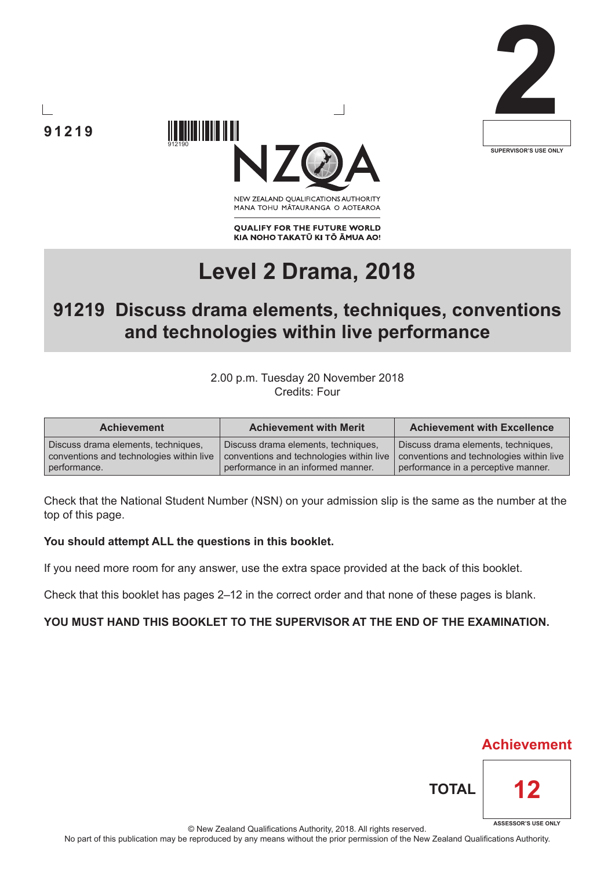



**91219**

NEW ZEALAND OUALIFICATIONS AUTHORITY MANA TOHU MATAURANGA O AOTEAROA

**QUALIFY FOR THE FUTURE WORLD** KIA NOHO TAKATŪ KI TŌ ĀMUA AO!

# **Level 2 Drama, 2018**

# **91219 Discuss drama elements, techniques, conventions and technologies within live performance**

## 2.00 p.m. Tuesday 20 November 2018 Credits: Four

| <b>Achievement</b>                       | <b>Achievement with Merit</b>            | <b>Achievement with Excellence</b>       |  |
|------------------------------------------|------------------------------------------|------------------------------------------|--|
| Discuss drama elements, techniques,      | Discuss drama elements, techniques,      | Discuss drama elements, techniques,      |  |
| conventions and technologies within live | conventions and technologies within live | conventions and technologies within live |  |
| performance.                             | performance in an informed manner.       | performance in a perceptive manner.      |  |

Check that the National Student Number (NSN) on your admission slip is the same as the number at the top of this page.

### **You should attempt ALL the questions in this booklet.**

If you need more room for any answer, use the extra space provided at the back of this booklet.

Check that this booklet has pages 2–12 in the correct order and that none of these pages is blank.

# **YOU MUST HAND THIS BOOKLET TO THE SUPERVISOR AT THE END OF THE EXAMINATION.**

**Achievement**

**12**

**TOTAL**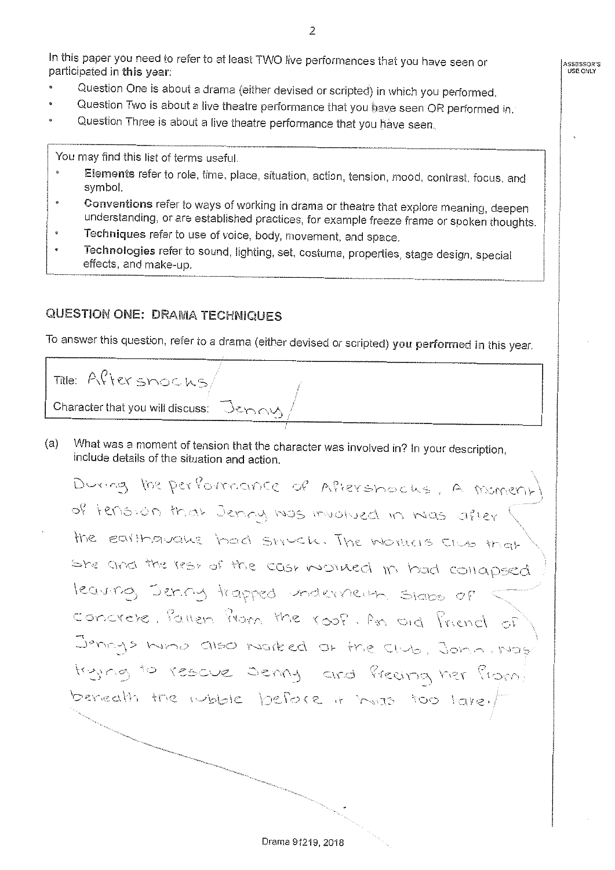In this paper you need to refer to at least TWO live performances that you have seen or participated in this year:

**ASSESSOR'S USE ONLY** 

- Question One is about a drama (either devised or scripted) in which you performed.
- Question Two is about a live theatre performance that you have seen OR performed in.
- Question Three is about a live theatre performance that you have seen.

You may find this list of terms useful.

- Elements refer to role, time, place, situation, action, tension, mood, contrast, focus, and  $\ddot{\phi}$ symbol.
- Conventions refer to ways of working in drama or theatre that explore meaning, deepen  $\epsilon$ understanding, or are established practices, for example freeze frame or spoken thoughts.
- Techniques refer to use of voice, body, movement, and space.
- Technologies refer to sound, lighting, set, costume, properties, stage design, special effects, and make-up.

# QUESTION ONE: DRAMA TECHNIQUES

To answer this question, refer to a drama (either devised or scripted) you performed in this year .

Title: After snocks Character that you will discuss:

(a) What was a moment of tension that the character was involved in? In your description, include details of the situation and action.

During the performance of Aftershocks, A momen of tension that Jenny was muotued in Mas after the earthquake had struck. The Workers Club that She and the rest of the cast worked in had collapsed leaving Jering trapped undervierth. Slabs of concrete, Pallen Prom the roof. An old Priench of  $J$ <sup>8</sup>  $m \wedge S$  ind also horized at the club *t)*  \ \ *r :\_)* ,; **~f··1**   $\alpha$  fore  $\alpha$  by  $\alpha$ 

Drama 91219, 2018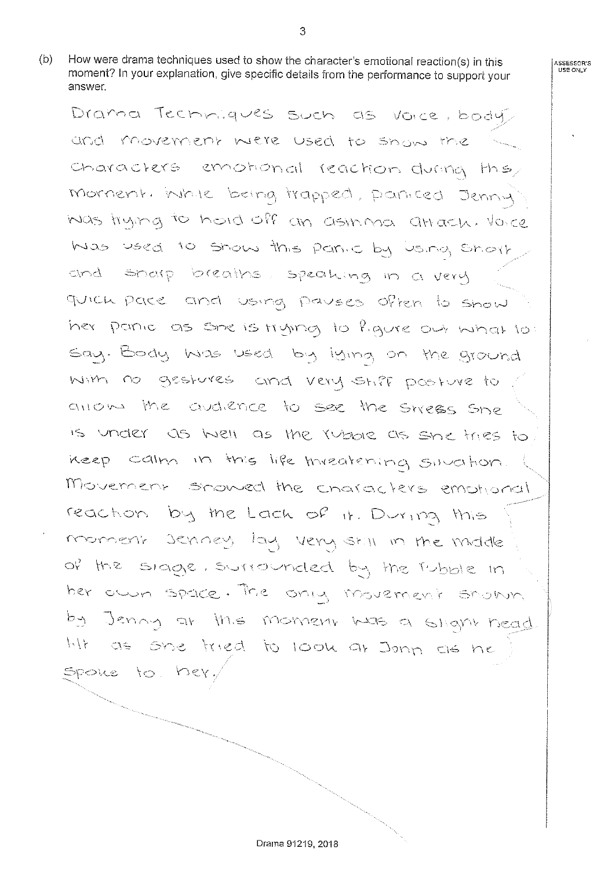(b) How were drama techniques used to show the character's emotional reaction(s) in this moment? In your explanation, give specific details from the performance to support your answer.

Drama Techniques such as voice, body, and movement were used to snow the characters emotional reaction during they mornent, while being trapped, particed Jenny  $\sim$   $\sim$   $\sim$   $\sim$ Was used to show this partic by using short and sharp breaths, speaking in a very quick pare and using payses often to show **:=."=>n(~** \ S \"' \*·J"i\* n(:?) -/ \c> say. Body was used by iging on the ground with no gestures and very stiff posture to allow the audience to see the strees she is under as well as the rubble as she tries to. neep calm in this life threatening sinction. Movement showed the characters emotional reaction by the Lack of it. During this monnent Jenney lay very still in the middle the rubble in her own space. The only movement shown  $\alpha$  this moment was a  $\epsilon$ \, \ *(* \ CJ c:i\,A,, ~<) ,,..,.., ,~, - '\ ' C.\·S Spoke to her,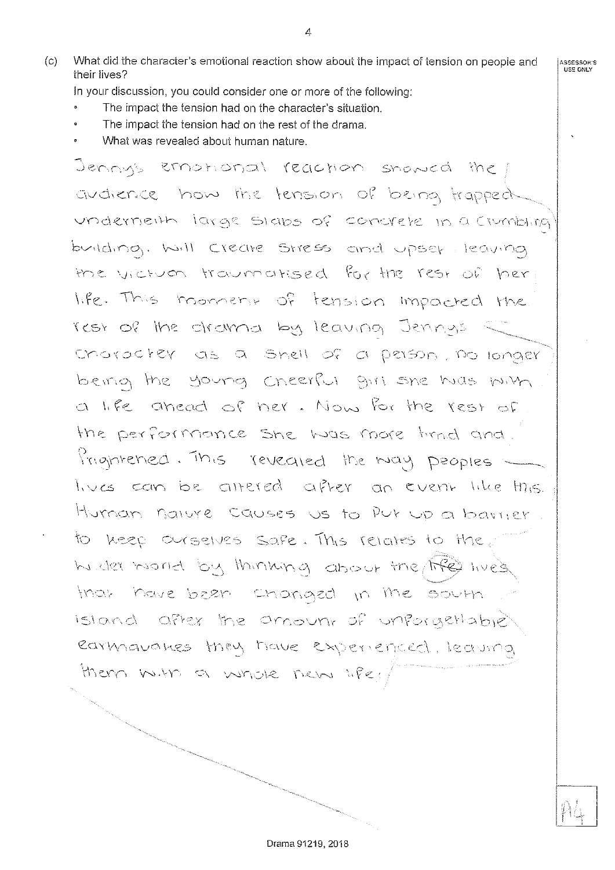(c) What did the characier's emotional reaction show about the impact of tension on people and their lives?

In your discussion, you could consider one or more of the following:

- The impact the tension had on the character's situation.
- The impact the tension had on the resi of the drama.
- What was revealed about human nature.

Jenny's emotional reaction snowed the avaience how the tension of being trapped underneith large stabs of concrete in a crumbling building. Will Create Stress and upset leaving the victum traumatised for the rest of her life. This moment of tension impacted the rest of the ctrownd by leaving Jennys  $relt$  of a person, no longer being the young Cneerful girl she hids milh -· er . Now for the rest of the performance she was more timed and. *Prightened. This revealed the may peoples* lives can be altered after an event like this.  $\dagger$ livman nature causes us to Put up a barrier. to keep ourselves safe. This relates to the. hunder mond by thinking about the fife lives. that have been changed in the south Island after the amount of unforgettable) earmananes they have experienced, leaving them with a whole new life!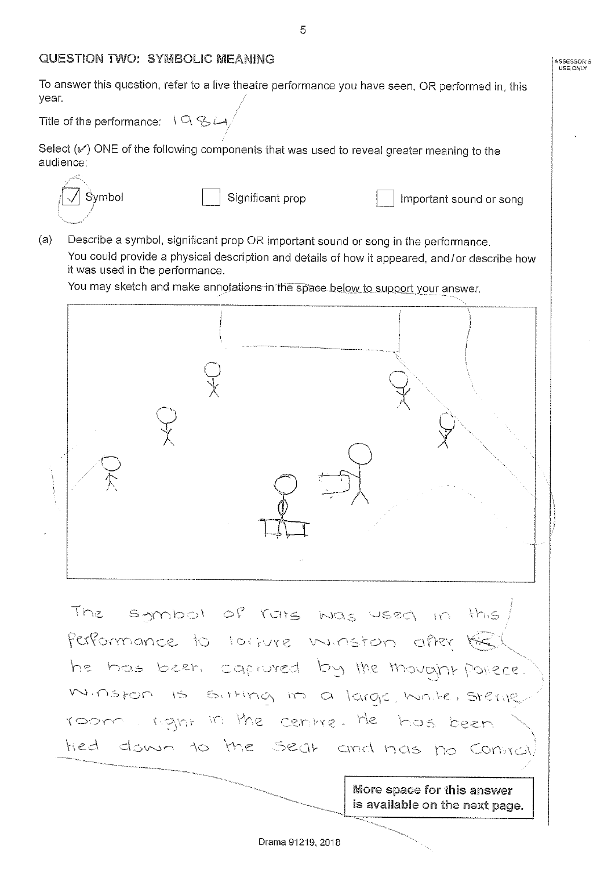## QUESTION TWO: SYMBOLIC MEANING

To answer this question, refer to a live theatre performance you have seen, OR performed in, this year.

Title of the performance:  $\mathcal{A} \cup \mathcal{A} \subseteq \mathcal{A}$ 

Select  $(\mathscr{V})$  ONE of the following components that was used to reveal greater meaning to the audience:



f **Symbol Example 3** Significant prop **D** Important sound or song

**ASSESSOR'S USE ONLY** 

(a) Describe a symbol, significant prop OR important sound or song in the performance. You could provide a physical description and details of how it appeared, and/ or describe how it was used in the performance.

You may sketch and make annotations in the space below to support your answer.



The symbol of rais was used in this Performance to torrure ministon after the he has been caproved by the movant porce. Minston is sitting in a large, hinter sterile room right in the centre. He has been tied down to the Sear and has no Contrat

> More space for this answer is available on the next page.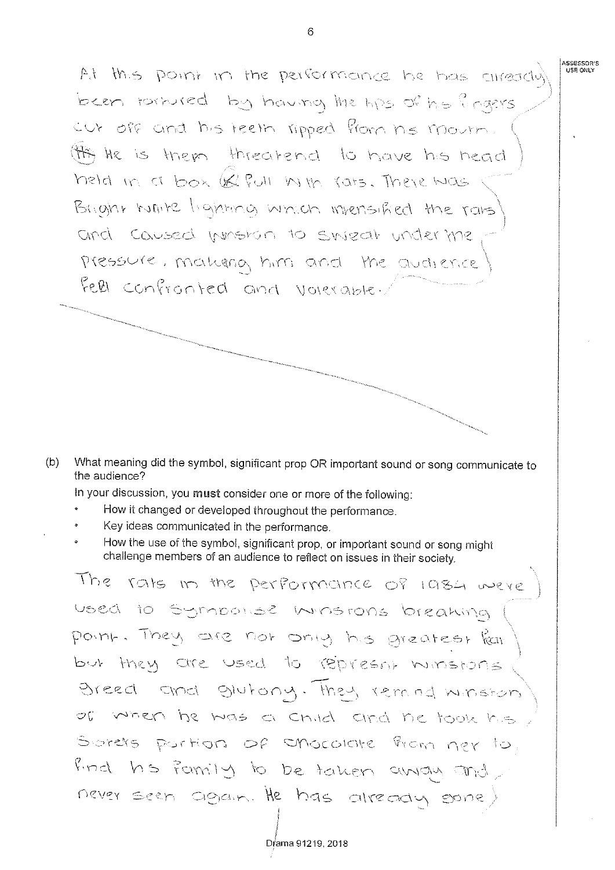At this point in the performance he has already  $\mathbf{b} = \mathbf{c} \cdot \mathbf{c}$ cut off and his teeth ripped from his mourn. (ff) He is them threatend to have his head held in a box (& Pull in the rats. There was Bright white lighting which intensified the rais and caused minston to sineat under the pressure, makerna him and the audience Fell confronted and volerable.

(b) What meaning did the symbol, significant prop OR important sound or song communicate to the audience?

In your discussion, you must consider one or more of the following:

- How it changed or developed throughout the performance.
- Key ideas communicated in the performance.
- How the use of the symbol, significant prop, or important sound or song might challenge members of an audience to reflect on issues in their society.

The rats in the performance of 1984 were used to sympolise ministons breaking  $\cap$ reatest  $\stackrel{\circ}{\text{ker}}$ but they are used to represon minstons giutony. of when he was a child and he took his Sorers partion of enocolate from ner to find hs family to be taken away and never seen again. He has already sone)

6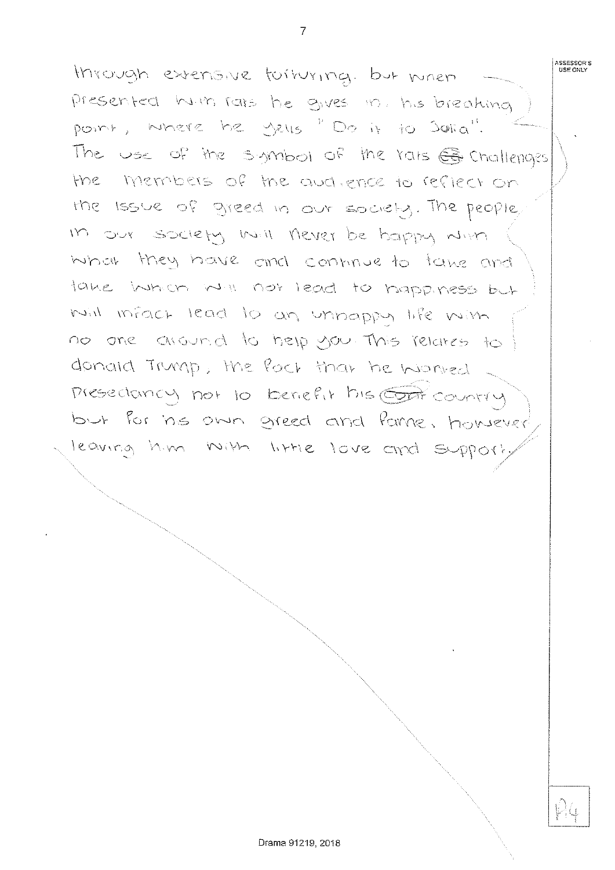through extensive forturing. but mnen  $he$ *J*  The use of the symbol of the rats  $\bigoplus$  challenges the members of the and, ence to reflect on the issue of greed in our society. The people, in our society will never be bappy with what they have and continue to take and take when when not lead to happiness but not infact lead to an unhappy life win no one around to help you. This relates to donald Trump, the fact that he worked Presedancy not to benefit his Country but for his own greed and fame, however leaving him with little love and support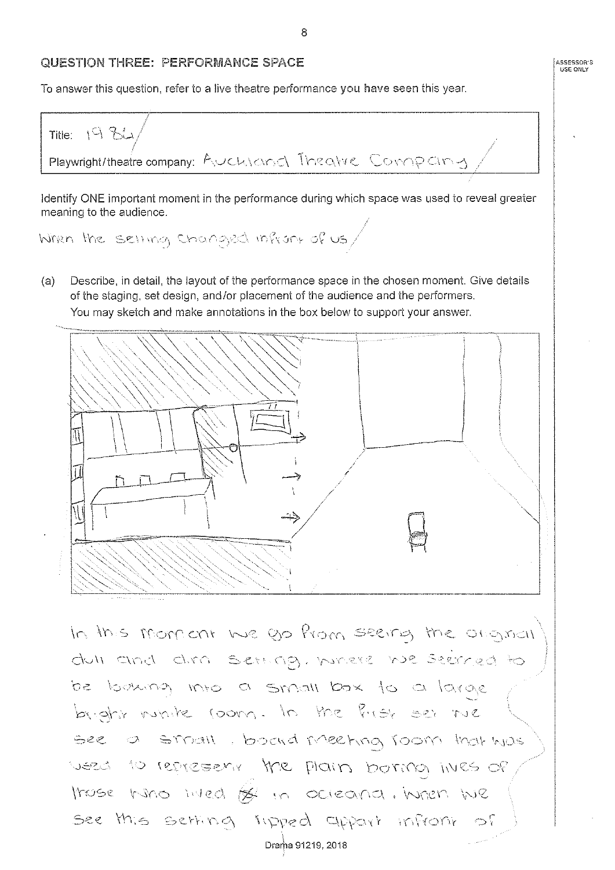#### QUESTION THREE: PERFORMANCE SPACE

To answer this question, refer to a live theatre performance you have seen this year.

Title:  $193$ Playwright/theatre company: AUCWOOd Theatre Company

Identify ONE important moment in the performance during which space was used to reveal greater meaning to the audience.

When the setting changed infront of us/

(a) Describe, in detail, the layout of the performance space in the chosen moment. Give details of the staging, set design, and /or placement of the audience and the performers. You may sketch and make annotations in the box below to support your answer.



In this moment we go from seeing the original  $d$ 011 and dira Sethag, where be looking into a small box to a large **y:;i\** • <::>.\- .··r '.f' \_) '~\ Y·\·<- **r ,J(:)\f r;** *M* \ \. ,, *.J*  weed to represent the plain borma ines of those hind inted of in ocieana. When We inpred cippart infro Drama 91219, 2018

8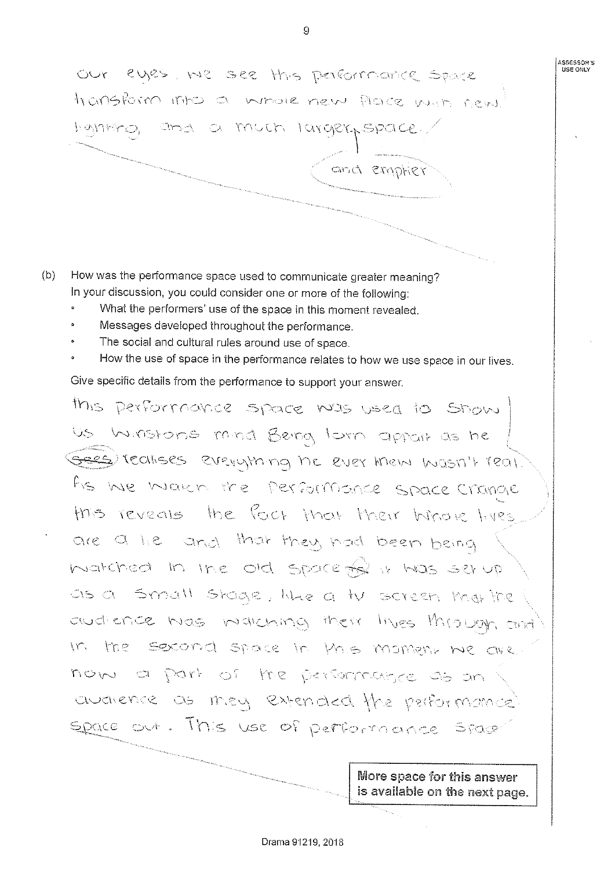OUT eyes, we see this performance Space transform into a whole new place with new  $\cup$ and emptier

- (b) How was the performance space used to communicate greater meaning? In your discussion, you could consider one or more of ihe following:
	- What the performers' use of the space in this moment revealed.
	- Messages developed throughout the performance.
	- The social and cultural rules around use of space.
	- How the use of space in the performance relates to how we use space in our lives. Give specific details from the performance to support your answer.

 $10$ Us Winstons mind Being tom appoir as he Gees (Calises everything he ever them masn't real. As we waren the performance space change this reveals the fact that their hinore lives are a lie and that they had been being  $\,$  Ine old as a small stage, like a tv screen mat the audience was warching their lives through and In the second space in this moment we are. now a part of the performance as an avaience as mey extended the performance space out. This use of performance space

More space for this answer is available on the next page.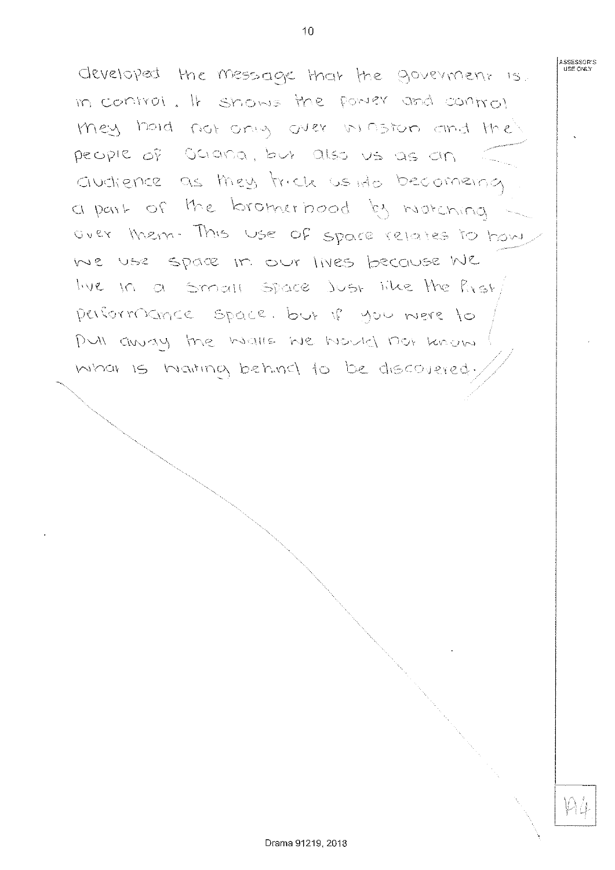developed the message that the government is. in control. It shows the power and control mey hold not only over in foron and the people of Ociana, but also us as an auchience a part of the bromerhood by watching OVEY MEM. This Use of space relates to have We use space in our lives because  $W$ live in a Small space Just like the Ry performance space. but if you were to PUI away the walls we would not know is hiaitina behinci to

 $\sim$